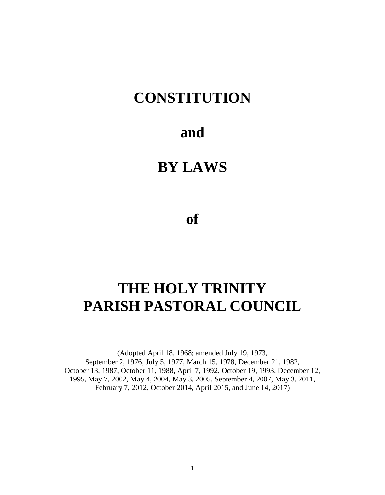# **CONSTITUTION**

# **and**

# **BY LAWS**

**of**

# **THE HOLY TRINITY PARISH PASTORAL COUNCIL**

(Adopted April 18, 1968; amended July 19, 1973, September 2, 1976, July 5, 1977, March 15, 1978, December 21, 1982, October 13, 1987, October 11, 1988, April 7, 1992, October 19, 1993, December 12, 1995, May 7, 2002, May 4, 2004, May 3, 2005, September 4, 2007, May 3, 2011, February 7, 2012, October 2014, April 2015, and June 14, 2017)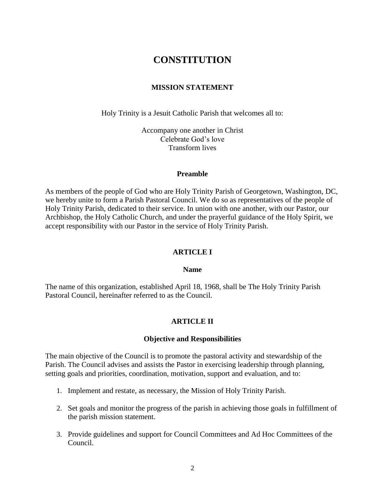# **CONSTITUTION**

### **MISSION STATEMENT**

Holy Trinity is a Jesuit Catholic Parish that welcomes all to:

Accompany one another in Christ Celebrate God's love Transform lives

### **Preamble**

As members of the people of God who are Holy Trinity Parish of Georgetown, Washington, DC, we hereby unite to form a Parish Pastoral Council. We do so as representatives of the people of Holy Trinity Parish, dedicated to their service. In union with one another, with our Pastor, our Archbishop, the Holy Catholic Church, and under the prayerful guidance of the Holy Spirit, we accept responsibility with our Pastor in the service of Holy Trinity Parish.

### **ARTICLE I**

### **Name**

The name of this organization, established April 18, 1968, shall be The Holy Trinity Parish Pastoral Council, hereinafter referred to as the Council.

### **ARTICLE II**

#### **Objective and Responsibilities**

The main objective of the Council is to promote the pastoral activity and stewardship of the Parish. The Council advises and assists the Pastor in exercising leadership through planning, setting goals and priorities, coordination, motivation, support and evaluation, and to:

- 1. Implement and restate, as necessary, the Mission of Holy Trinity Parish.
- 2. Set goals and monitor the progress of the parish in achieving those goals in fulfillment of the parish mission statement.
- 3. Provide guidelines and support for Council Committees and Ad Hoc Committees of the Council.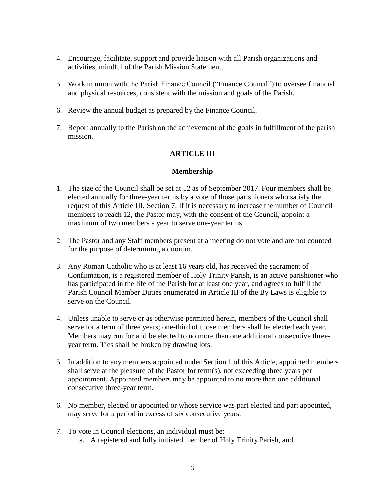- 4. Encourage, facilitate, support and provide liaison with all Parish organizations and activities, mindful of the Parish Mission Statement.
- 5. Work in union with the Parish Finance Council ("Finance Council") to oversee financial and physical resources, consistent with the mission and goals of the Parish.
- 6. Review the annual budget as prepared by the Finance Council.
- 7. Report annually to the Parish on the achievement of the goals in fulfillment of the parish mission.

# **ARTICLE III**

## **Membership**

- 1. The size of the Council shall be set at 12 as of September 2017. Four members shall be elected annually for three-year terms by a vote of those parishioners who satisfy the request of this Article III, Section 7. If it is necessary to increase the number of Council members to reach 12, the Pastor may, with the consent of the Council, appoint a maximum of two members a year to serve one-year terms.
- 2. The Pastor and any Staff members present at a meeting do not vote and are not counted for the purpose of determining a quorum.
- 3. Any Roman Catholic who is at least 16 years old, has received the sacrament of Confirmation, is a registered member of Holy Trinity Parish, is an active parishioner who has participated in the life of the Parish for at least one year, and agrees to fulfill the Parish Council Member Duties enumerated in Article III of the By Laws is eligible to serve on the Council.
- 4. Unless unable to serve or as otherwise permitted herein, members of the Council shall serve for a term of three years; one-third of those members shall be elected each year. Members may run for and be elected to no more than one additional consecutive threeyear term. Ties shall be broken by drawing lots.
- 5. In addition to any members appointed under Section 1 of this Article, appointed members shall serve at the pleasure of the Pastor for term(s), not exceeding three years per appointment. Appointed members may be appointed to no more than one additional consecutive three-year term.
- 6. No member, elected or appointed or whose service was part elected and part appointed, may serve for a period in excess of six consecutive years.
- 7. To vote in Council elections, an individual must be: a. A registered and fully initiated member of Holy Trinity Parish, and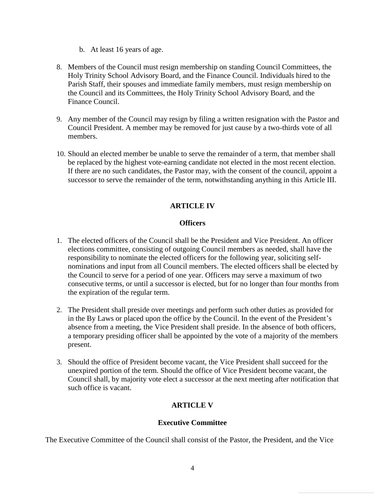- b. At least 16 years of age.
- 8. Members of the Council must resign membership on standing Council Committees, the Holy Trinity School Advisory Board, and the Finance Council. Individuals hired to the Parish Staff, their spouses and immediate family members, must resign membership on the Council and its Committees, the Holy Trinity School Advisory Board, and the Finance Council.
- 9. Any member of the Council may resign by filing a written resignation with the Pastor and Council President. A member may be removed for just cause by a two-thirds vote of all members.
- 10. Should an elected member be unable to serve the remainder of a term, that member shall be replaced by the highest vote-earning candidate not elected in the most recent election. If there are no such candidates, the Pastor may, with the consent of the council, appoint a successor to serve the remainder of the term, notwithstanding anything in this Article III.

# **ARTICLE IV**

## **Officers**

- 1. The elected officers of the Council shall be the President and Vice President. An officer elections committee, consisting of outgoing Council members as needed, shall have the responsibility to nominate the elected officers for the following year, soliciting selfnominations and input from all Council members. The elected officers shall be elected by the Council to serve for a period of one year. Officers may serve a maximum of two consecutive terms, or until a successor is elected, but for no longer than four months from the expiration of the regular term.
- 2. The President shall preside over meetings and perform such other duties as provided for in the By Laws or placed upon the office by the Council. In the event of the President's absence from a meeting, the Vice President shall preside. In the absence of both officers, a temporary presiding officer shall be appointed by the vote of a majority of the members present.
- 3. Should the office of President become vacant, the Vice President shall succeed for the unexpired portion of the term. Should the office of Vice President become vacant, the Council shall, by majority vote elect a successor at the next meeting after notification that such office is vacant.

# **ARTICLE V**

# **Executive Committee**

The Executive Committee of the Council shall consist of the Pastor, the President, and the Vice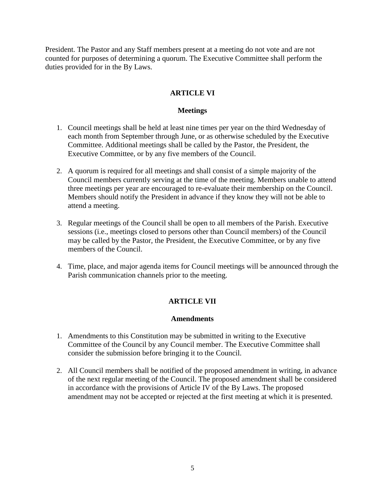President. The Pastor and any Staff members present at a meeting do not vote and are not counted for purposes of determining a quorum. The Executive Committee shall perform the duties provided for in the By Laws.

# **ARTICLE VI**

### **Meetings**

- 1. Council meetings shall be held at least nine times per year on the third Wednesday of each month from September through June, or as otherwise scheduled by the Executive Committee. Additional meetings shall be called by the Pastor, the President, the Executive Committee, or by any five members of the Council.
- 2. A quorum is required for all meetings and shall consist of a simple majority of the Council members currently serving at the time of the meeting. Members unable to attend three meetings per year are encouraged to re-evaluate their membership on the Council. Members should notify the President in advance if they know they will not be able to attend a meeting.
- 3. Regular meetings of the Council shall be open to all members of the Parish. Executive sessions (i.e., meetings closed to persons other than Council members) of the Council may be called by the Pastor, the President, the Executive Committee, or by any five members of the Council.
- 4. Time, place, and major agenda items for Council meetings will be announced through the Parish communication channels prior to the meeting.

# **ARTICLE VII**

### **Amendments**

- 1. Amendments to this Constitution may be submitted in writing to the Executive Committee of the Council by any Council member. The Executive Committee shall consider the submission before bringing it to the Council.
- 2. All Council members shall be notified of the proposed amendment in writing, in advance of the next regular meeting of the Council. The proposed amendment shall be considered in accordance with the provisions of Article IV of the By Laws. The proposed amendment may not be accepted or rejected at the first meeting at which it is presented.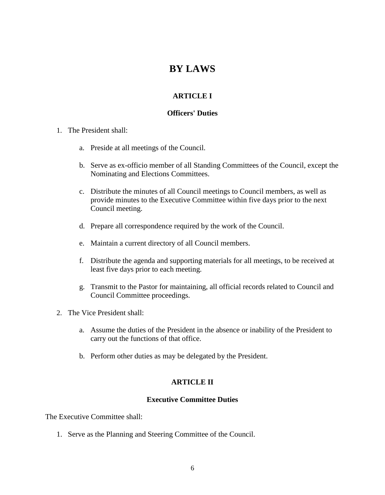# **BY LAWS**

# **ARTICLE I**

# **Officers' Duties**

- 1. The President shall:
	- a. Preside at all meetings of the Council.
	- b. Serve as ex-officio member of all Standing Committees of the Council, except the Nominating and Elections Committees.
	- c. Distribute the minutes of all Council meetings to Council members, as well as provide minutes to the Executive Committee within five days prior to the next Council meeting.
	- d. Prepare all correspondence required by the work of the Council.
	- e. Maintain a current directory of all Council members.
	- f. Distribute the agenda and supporting materials for all meetings, to be received at least five days prior to each meeting.
	- g. Transmit to the Pastor for maintaining, all official records related to Council and Council Committee proceedings.
- 2. The Vice President shall:
	- a. Assume the duties of the President in the absence or inability of the President to carry out the functions of that office.
	- b. Perform other duties as may be delegated by the President.

### **ARTICLE II**

### **Executive Committee Duties**

The Executive Committee shall:

1. Serve as the Planning and Steering Committee of the Council.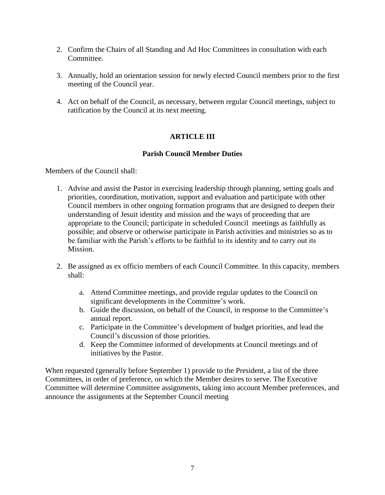- 2. Confirm the Chairs of all Standing and Ad Hoc Committees in consultation with each Committee.
- 3. Annually, hold an orientation session for newly elected Council members prior to the first meeting of the Council year.
- 4. Act on behalf of the Council, as necessary, between regular Council meetings, subject to ratification by the Council at its next meeting.

# **ARTICLE III**

# **Parish Council Member Duties**

Members of the Council shall:

- 1. Advise and assist the Pastor in exercising leadership through planning, setting goals and priorities, coordination, motivation, support and evaluation and participate with other Council members in other ongoing formation programs that are designed to deepen their understanding of Jesuit identity and mission and the ways of proceeding that are appropriate to the Council; participate in scheduled Council meetings as faithfully as possible; and observe or otherwise participate in Parish activities and ministries so as to be familiar with the Parish's efforts to be faithful to its identity and to carry out its Mission.
- 2. Be assigned as ex officio members of each Council Committee. In this capacity, members shall:
	- a. Attend Committee meetings, and provide regular updates to the Council on significant developments in the Committee's work.
	- b. Guide the discussion, on behalf of the Council, in response to the Committee's annual report.
	- c. Participate in the Committee's development of budget priorities, and lead the Council's discussion of those priorities.
	- d. Keep the Committee informed of developments at Council meetings and of initiatives by the Pastor.

When requested (generally before September 1) provide to the President, a list of the three Committees, in order of preference, on which the Member desires to serve. The Executive Committee will determine Committee assignments, taking into account Member preferences, and announce the assignments at the September Council meeting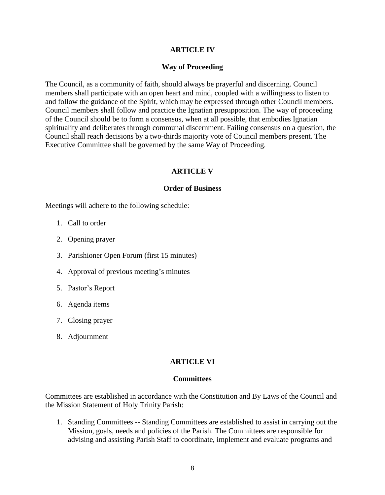### **ARTICLE IV**

### **Way of Proceeding**

The Council, as a community of faith, should always be prayerful and discerning. Council members shall participate with an open heart and mind, coupled with a willingness to listen to and follow the guidance of the Spirit, which may be expressed through other Council members. Council members shall follow and practice the Ignatian presupposition. The way of proceeding of the Council should be to form a consensus, when at all possible, that embodies Ignatian spirituality and deliberates through communal discernment. Failing consensus on a question, the Council shall reach decisions by a two-thirds majority vote of Council members present. The Executive Committee shall be governed by the same Way of Proceeding.

### **ARTICLE V**

#### **Order of Business**

Meetings will adhere to the following schedule:

- 1. Call to order
- 2. Opening prayer
- 3. Parishioner Open Forum (first 15 minutes)
- 4. Approval of previous meeting's minutes
- 5. Pastor's Report
- 6. Agenda items
- 7. Closing prayer
- 8. Adjournment

### **ARTICLE VI**

### **Committees**

Committees are established in accordance with the Constitution and By Laws of the Council and the Mission Statement of Holy Trinity Parish:

1. Standing Committees -- Standing Committees are established to assist in carrying out the Mission, goals, needs and policies of the Parish. The Committees are responsible for advising and assisting Parish Staff to coordinate, implement and evaluate programs and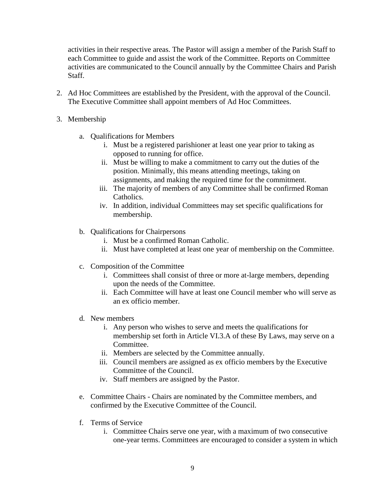activities in their respective areas. The Pastor will assign a member of the Parish Staff to each Committee to guide and assist the work of the Committee. Reports on Committee activities are communicated to the Council annually by the Committee Chairs and Parish Staff.

- 2. Ad Hoc Committees are established by the President, with the approval of the Council. The Executive Committee shall appoint members of Ad Hoc Committees.
- 3. Membership
	- a. Qualifications for Members
		- i. Must be a registered parishioner at least one year prior to taking as opposed to running for office.
		- ii. Must be willing to make a commitment to carry out the duties of the position. Minimally, this means attending meetings, taking on assignments, and making the required time for the commitment.
		- iii. The majority of members of any Committee shall be confirmed Roman Catholics.
		- iv. In addition, individual Committees may set specific qualifications for membership.
	- b. Qualifications for Chairpersons
		- i. Must be a confirmed Roman Catholic.
		- ii. Must have completed at least one year of membership on the Committee.
	- c. Composition of the Committee
		- i. Committees shall consist of three or more at-large members, depending upon the needs of the Committee.
		- ii. Each Committee will have at least one Council member who will serve as an ex officio member.
	- d. New members
		- i. Any person who wishes to serve and meets the qualifications for membership set forth in Article VI.3.A of these By Laws, may serve on a Committee.
		- ii. Members are selected by the Committee annually.
		- iii. Council members are assigned as ex officio members by the Executive Committee of the Council.
		- iv. Staff members are assigned by the Pastor.
	- e. Committee Chairs Chairs are nominated by the Committee members, and confirmed by the Executive Committee of the Council.
	- f. Terms of Service
		- i. Committee Chairs serve one year, with a maximum of two consecutive one-year terms. Committees are encouraged to consider a system in which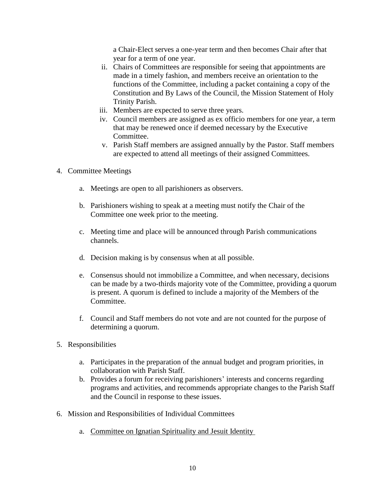a Chair-Elect serves a one-year term and then becomes Chair after that year for a term of one year.

- ii. Chairs of Committees are responsible for seeing that appointments are made in a timely fashion, and members receive an orientation to the functions of the Committee, including a packet containing a copy of the Constitution and By Laws of the Council, the Mission Statement of Holy Trinity Parish.
- iii. Members are expected to serve three years.
- iv. Council members are assigned as ex officio members for one year, a term that may be renewed once if deemed necessary by the Executive Committee.
- v. Parish Staff members are assigned annually by the Pastor. Staff members are expected to attend all meetings of their assigned Committees.
- 4. Committee Meetings
	- a. Meetings are open to all parishioners as observers.
	- b. Parishioners wishing to speak at a meeting must notify the Chair of the Committee one week prior to the meeting.
	- c. Meeting time and place will be announced through Parish communications channels.
	- d. Decision making is by consensus when at all possible.
	- e. Consensus should not immobilize a Committee, and when necessary, decisions can be made by a two-thirds majority vote of the Committee, providing a quorum is present. A quorum is defined to include a majority of the Members of the Committee.
	- f. Council and Staff members do not vote and are not counted for the purpose of determining a quorum.
- 5. Responsibilities
	- a. Participates in the preparation of the annual budget and program priorities, in collaboration with Parish Staff.
	- b. Provides a forum for receiving parishioners' interests and concerns regarding programs and activities, and recommends appropriate changes to the Parish Staff and the Council in response to these issues.
- 6. Mission and Responsibilities of Individual Committees
	- a. Committee on Ignatian Spirituality and Jesuit Identity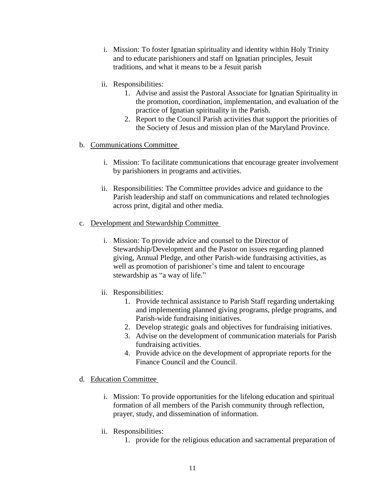- i. Mission: To foster Ignatian spirituality and identity within Holy Trinity and to educate parishioners and staff on Ignatian principles, Jesuit traditions, and what it means to be a Jesuit parish
- ii. Responsibilities:
	- 1. Advise and assist the Pastoral Associate for Ignatian Spirituality in the promotion, coordination, implementation, and evaluation of the practice of Ignatian spirituality in the Parish.
	- 2. Report to the Council Parish activities that support the priorities of the Society of Jesus and mission plan of the Maryland Province.
- b. Communications Committee
	- i. Mission: To facilitate communications that encourage greater involvement by parishioners in programs and activities.
	- ii. Responsibilities: The Committee provides advice and guidance to the Parish leadership and staff on communications and related technologies across print, digital and other media.
- c. Development and Stewardship Committee
	- i. Mission: To provide advice and counsel to the Director of Stewardship/Development and the Pastor on issues regarding planned giving, Annual Pledge, and other Parish-wide fundraising activities, as well as promotion of parishioner's time and talent to encourage stewardship as "a way of life."
	- ii. Responsibilities:
		- 1. Provide technical assistance to Parish Staff regarding undertaking and implementing planned giving programs, pledge programs, and Parish-wide fundraising initiatives.
		- 2. Develop strategic goals and objectives for fundraising initiatives.
		- 3. Advise on the development of communication materials for Parish fundraising activities.
		- 4. Provide advice on the development of appropriate reports for the Finance Council and the Council.
- d. Education Committee
	- i. Mission: To provide opportunities for the lifelong education and spiritual formation of all members of the Parish community through reflection, prayer, study, and dissemination of information.
	- ii. Responsibilities:
		- 1. provide for the religious education and sacramental preparation of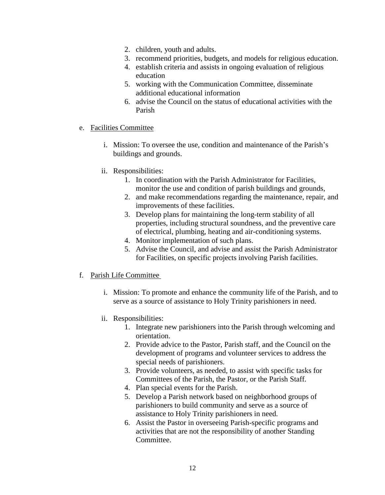- 2. children, youth and adults.
- 3. recommend priorities, budgets, and models for religious education.
- 4. establish criteria and assists in ongoing evaluation of religious education
- 5. working with the Communication Committee, disseminate additional educational information
- 6. advise the Council on the status of educational activities with the Parish
- e. Facilities Committee
	- i. Mission: To oversee the use, condition and maintenance of the Parish's buildings and grounds.
	- ii. Responsibilities:
		- 1. In coordination with the Parish Administrator for Facilities, monitor the use and condition of parish buildings and grounds,
		- 2. and make recommendations regarding the maintenance, repair, and improvements of these facilities.
		- 3. Develop plans for maintaining the long-term stability of all properties, including structural soundness, and the preventive care of electrical, plumbing, heating and air-conditioning systems.
		- 4. Monitor implementation of such plans.
		- 5. Advise the Council, and advise and assist the Parish Administrator for Facilities, on specific projects involving Parish facilities.

### f. Parish Life Committee

- i. Mission: To promote and enhance the community life of the Parish, and to serve as a source of assistance to Holy Trinity parishioners in need.
- ii. Responsibilities:
	- 1. Integrate new parishioners into the Parish through welcoming and orientation.
	- 2. Provide advice to the Pastor, Parish staff, and the Council on the development of programs and volunteer services to address the special needs of parishioners.
	- 3. Provide volunteers, as needed, to assist with specific tasks for Committees of the Parish, the Pastor, or the Parish Staff.
	- 4. Plan special events for the Parish.
	- 5. Develop a Parish network based on neighborhood groups of parishioners to build community and serve as a source of assistance to Holy Trinity parishioners in need.
	- 6. Assist the Pastor in overseeing Parish-specific programs and activities that are not the responsibility of another Standing Committee.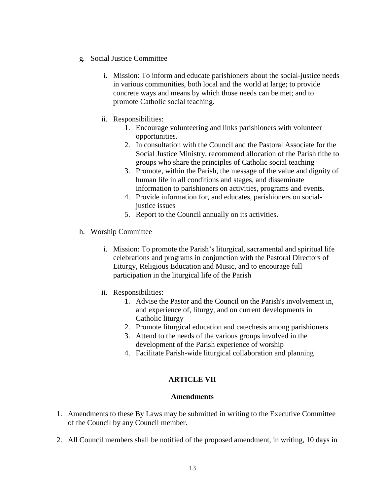## g. Social Justice Committee

- i. Mission: To inform and educate parishioners about the social-justice needs in various communities, both local and the world at large; to provide concrete ways and means by which those needs can be met; and to promote Catholic social teaching.
- ii. Responsibilities:
	- 1. Encourage volunteering and links parishioners with volunteer opportunities.
	- 2. In consultation with the Council and the Pastoral Associate for the Social Justice Ministry, recommend allocation of the Parish tithe to groups who share the principles of Catholic social teaching
	- 3. Promote, within the Parish, the message of the value and dignity of human life in all conditions and stages, and disseminate information to parishioners on activities, programs and events.
	- 4. Provide information for, and educates, parishioners on socialjustice issues
	- 5. Report to the Council annually on its activities.
- h. Worship Committee
	- i. Mission: To promote the Parish's liturgical, sacramental and spiritual life celebrations and programs in conjunction with the Pastoral Directors of Liturgy, Religious Education and Music, and to encourage full participation in the liturgical life of the Parish
	- ii. Responsibilities:
		- 1. Advise the Pastor and the Council on the Parish's involvement in, and experience of, liturgy, and on current developments in Catholic liturgy
		- 2. Promote liturgical education and catechesis among parishioners
		- 3. Attend to the needs of the various groups involved in the development of the Parish experience of worship
		- 4. Facilitate Parish-wide liturgical collaboration and planning

# **ARTICLE VII**

# **Amendments**

- 1. Amendments to these By Laws may be submitted in writing to the Executive Committee of the Council by any Council member.
- 2. All Council members shall be notified of the proposed amendment, in writing, 10 days in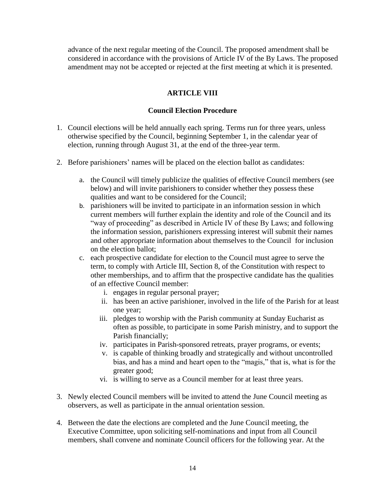advance of the next regular meeting of the Council. The proposed amendment shall be considered in accordance with the provisions of Article IV of the By Laws. The proposed amendment may not be accepted or rejected at the first meeting at which it is presented.

# **ARTICLE VIII**

### **Council Election Procedure**

- 1. Council elections will be held annually each spring. Terms run for three years, unless otherwise specified by the Council, beginning September 1, in the calendar year of election, running through August 31, at the end of the three-year term.
- 2. Before parishioners' names will be placed on the election ballot as candidates:
	- a. the Council will timely publicize the qualities of effective Council members (see below) and will invite parishioners to consider whether they possess these qualities and want to be considered for the Council;
	- b. parishioners will be invited to participate in an information session in which current members will further explain the identity and role of the Council and its "way of proceeding" as described in Article IV of these By Laws; and following the information session, parishioners expressing interest will submit their names and other appropriate information about themselves to the Council for inclusion on the election ballot;
	- c. each prospective candidate for election to the Council must agree to serve the term, to comply with Article III, Section 8, of the Constitution with respect to other memberships, and to affirm that the prospective candidate has the qualities of an effective Council member:
		- i. engages in regular personal prayer;
		- ii. has been an active parishioner, involved in the life of the Parish for at least one year;
		- iii. pledges to worship with the Parish community at Sunday Eucharist as often as possible, to participate in some Parish ministry, and to support the Parish financially;
		- iv. participates in Parish-sponsored retreats, prayer programs, or events;
		- v. is capable of thinking broadly and strategically and without uncontrolled bias, and has a mind and heart open to the "magis," that is, what is for the greater good;
		- vi. is willing to serve as a Council member for at least three years.
- 3. Newly elected Council members will be invited to attend the June Council meeting as observers, as well as participate in the annual orientation session.
- 4. Between the date the elections are completed and the June Council meeting, the Executive Committee, upon soliciting self-nominations and input from all Council members, shall convene and nominate Council officers for the following year. At the